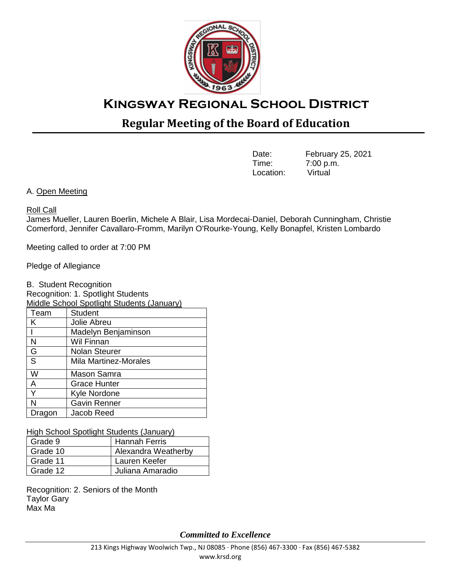

# **Kingsway Regional School District**

# **Regular Meeting of the Board of Education**

| Date:     | February 25, 2021 |
|-----------|-------------------|
| Time:     | 7:00 p.m.         |
| Location: | Virtual           |

A. Open Meeting

#### Roll Call

James Mueller, Lauren Boerlin, Michele A Blair, Lisa Mordecai-Daniel, Deborah Cunningham, Christie Comerford, Jennifer Cavallaro-Fromm, Marilyn O'Rourke-Young, Kelly Bonapfel, Kristen Lombardo

Meeting called to order at 7:00 PM

Pledge of Allegiance

B. Student Recognition

Recognition: 1. Spotlight Students

| <b>Middle School Spotlight Students (January)</b> |                              |  |  |
|---------------------------------------------------|------------------------------|--|--|
| Team                                              | <b>Student</b>               |  |  |
| K                                                 | Jolie Abreu                  |  |  |
|                                                   | Madelyn Benjaminson          |  |  |
| N                                                 | Wil Finnan                   |  |  |
| G                                                 | <b>Nolan Steurer</b>         |  |  |
| $\overline{S}$                                    | <b>Mila Martinez-Morales</b> |  |  |
| W                                                 | Mason Samra                  |  |  |
| A                                                 | <b>Grace Hunter</b>          |  |  |
| Y                                                 | Kyle Nordone                 |  |  |
| N                                                 | <b>Gavin Renner</b>          |  |  |
| Dragon                                            | Jacob Reed                   |  |  |

High School Spotlight Students (January)

| Grade 9  | <b>Hannah Ferris</b> |
|----------|----------------------|
| Grade 10 | Alexandra Weatherby  |
| Grade 11 | Lauren Keefer        |
| Grade 12 | Juliana Amaradio     |

Recognition: 2. Seniors of the Month Taylor Gary Max Ma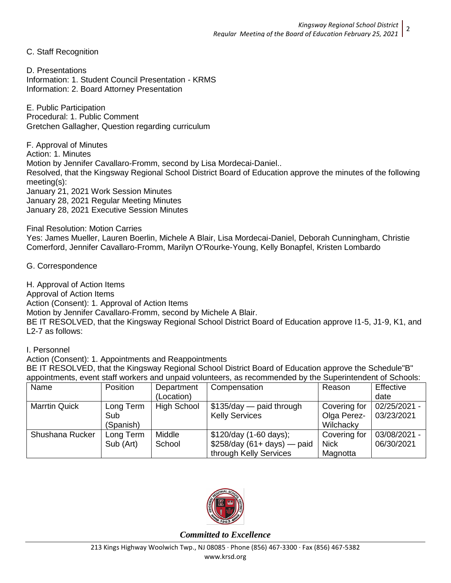C. Staff Recognition

D. Presentations Information: 1. Student Council Presentation - KRMS Information: 2. Board Attorney Presentation

E. Public Participation Procedural: 1. Public Comment Gretchen Gallagher, Question regarding curriculum

F. Approval of Minutes Action: 1. Minutes Motion by Jennifer Cavallaro-Fromm, second by Lisa Mordecai-Daniel.. Resolved, that the Kingsway Regional School District Board of Education approve the minutes of the following meeting(s): January 21, 2021 Work Session Minutes January 28, 2021 Regular Meeting Minutes January 28, 2021 Executive Session Minutes

Final Resolution: Motion Carries

Yes: James Mueller, Lauren Boerlin, Michele A Blair, Lisa Mordecai-Daniel, Deborah Cunningham, Christie Comerford, Jennifer Cavallaro-Fromm, Marilyn O'Rourke-Young, Kelly Bonapfel, Kristen Lombardo

G. Correspondence

H. Approval of Action Items

Approval of Action Items

Action (Consent): 1. Approval of Action Items

Motion by Jennifer Cavallaro-Fromm, second by Michele A Blair.

BE IT RESOLVED, that the Kingsway Regional School District Board of Education approve I1-5, J1-9, K1, and L2-7 as follows:

I. Personnel

Action (Consent): 1. Appointments and Reappointments

BE IT RESOLVED, that the Kingsway Regional School District Board of Education approve the Schedule"B" appointments, event staff workers and unpaid volunteers, as recommended by the Superintendent of Schools:

| Name                 | Position  | Department         | Compensation                 | Reason       | Effective    |
|----------------------|-----------|--------------------|------------------------------|--------------|--------------|
|                      |           | (Location)         |                              |              | date         |
| <b>Marrtin Quick</b> | Long Term | <b>High School</b> | $$135/day$ - paid through    | Covering for | 02/25/2021 - |
|                      | Sub       |                    | <b>Kelly Services</b>        | Olga Perez-  | 03/23/2021   |
|                      | (Spanish) |                    |                              | Wilchacky    |              |
| Shushana Rucker      | Long Term | Middle             | \$120/day (1-60 days);       | Covering for | 03/08/2021 - |
|                      | Sub (Art) | School             | $$258/day (61+ days)$ - paid | <b>Nick</b>  | 06/30/2021   |
|                      |           |                    | through Kelly Services       | Magnotta     |              |

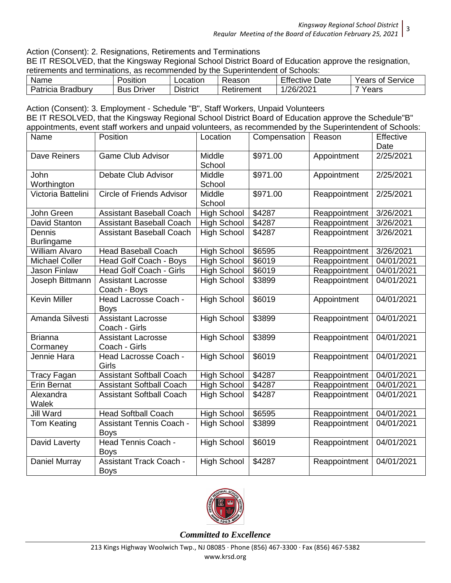Action (Consent): 2. Resignations, Retirements and Terminations

BE IT RESOLVED, that the Kingsway Regional School District Board of Education approve the resignation, retirements and terminations, as recommended by the Superintendent of Schools:

| Name                        | Position             | Location        | ≺eason     | <b>Effective</b><br>Date | Years<br>Service<br>Οt |
|-----------------------------|----------------------|-----------------|------------|--------------------------|------------------------|
| Patricia<br><b>Bradbury</b> | <b>Bus</b><br>⊃rı∨er | - -<br>District | ⊀etırement | /26/2021<br>∠ں∠          | Years                  |

Action (Consent): 3. Employment - Schedule "B", Staff Workers, Unpaid Volunteers BE IT RESOLVED, that the Kingsway Regional School District Board of Education approve the Schedule"B" appointments, event staff workers and unpaid volunteers, as recommended by the Superintendent of Schools:

| Name                        | Position                                       | Location           | Compensation | Reason        | Effective<br>Date |
|-----------------------------|------------------------------------------------|--------------------|--------------|---------------|-------------------|
| Dave Reiners                | <b>Game Club Advisor</b>                       | Middle<br>School   | \$971.00     | Appointment   | 2/25/2021         |
| <b>John</b><br>Worthington  | Debate Club Advisor                            | Middle<br>School   | \$971.00     | Appointment   | 2/25/2021         |
| Victoria Battelini          | <b>Circle of Friends Advisor</b>               | Middle<br>School   | \$971.00     | Reappointment | 2/25/2021         |
| John Green                  | <b>Assistant Baseball Coach</b>                | <b>High School</b> | \$4287       | Reappointment | 3/26/2021         |
| David Stanton               | <b>Assistant Baseball Coach</b>                | <b>High School</b> | \$4287       | Reappointment | 3/26/2021         |
| Dennis<br><b>Burlingame</b> | <b>Assistant Baseball Coach</b>                | <b>High School</b> | \$4287       | Reappointment | 3/26/2021         |
| <b>William Alvaro</b>       | <b>Head Baseball Coach</b>                     | <b>High School</b> | \$6595       | Reappointment | 3/26/2021         |
| <b>Michael Coller</b>       | Head Golf Coach - Boys                         | <b>High School</b> | \$6019       | Reappointment | 04/01/2021        |
| Jason Finlaw                | Head Golf Coach - Girls                        | <b>High School</b> | \$6019       | Reappointment | 04/01/2021        |
| Joseph Bittmann             | <b>Assistant Lacrosse</b><br>Coach - Boys      | <b>High School</b> | \$3899       | Reappointment | 04/01/2021        |
| <b>Kevin Miller</b>         | Head Lacrosse Coach -<br><b>Boys</b>           | <b>High School</b> | \$6019       | Appointment   | 04/01/2021        |
| Amanda Silvesti             | <b>Assistant Lacrosse</b><br>Coach - Girls     | <b>High School</b> | \$3899       | Reappointment | 04/01/2021        |
| <b>Brianna</b><br>Cormaney  | <b>Assistant Lacrosse</b><br>Coach - Girls     | <b>High School</b> | \$3899       | Reappointment | 04/01/2021        |
| Jennie Hara                 | Head Lacrosse Coach -<br>Girls                 | <b>High School</b> | \$6019       | Reappointment | 04/01/2021        |
| <b>Tracy Fagan</b>          | <b>Assistant Softball Coach</b>                | <b>High School</b> | \$4287       | Reappointment | 04/01/2021        |
| <b>Erin Bernat</b>          | <b>Assistant Softball Coach</b>                | <b>High School</b> | \$4287       | Reappointment | 04/01/2021        |
| Alexandra<br>Walek          | <b>Assistant Softball Coach</b>                | <b>High School</b> | \$4287       | Reappointment | 04/01/2021        |
| <b>Jill Ward</b>            | <b>Head Softball Coach</b>                     | <b>High School</b> | \$6595       | Reappointment | 04/01/2021        |
| <b>Tom Keating</b>          | <b>Assistant Tennis Coach -</b><br><b>Boys</b> | <b>High School</b> | \$3899       | Reappointment | 04/01/2021        |
| David Laverty               | Head Tennis Coach -<br><b>Boys</b>             | <b>High School</b> | \$6019       | Reappointment | 04/01/2021        |
| Daniel Murray               | <b>Assistant Track Coach -</b><br><b>Boys</b>  | <b>High School</b> | \$4287       | Reappointment | 04/01/2021        |

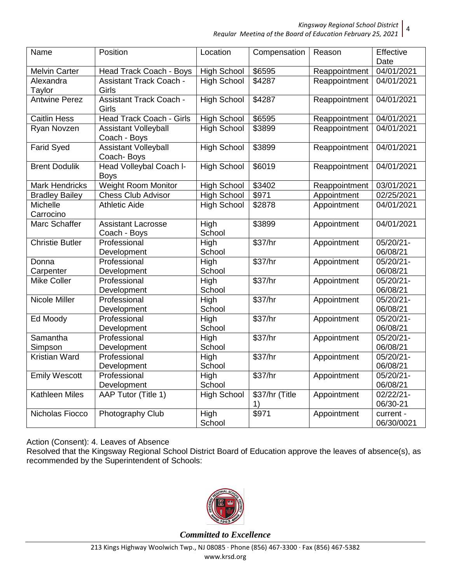*Kingsway Regional School District* 4

*Regular Meeting of the Board of Education February 25, 2021*

| Name                   | Position                                    | Location           | Compensation   | Reason        | Effective               |
|------------------------|---------------------------------------------|--------------------|----------------|---------------|-------------------------|
|                        |                                             |                    |                |               | Date                    |
| <b>Melvin Carter</b>   | Head Track Coach - Boys                     | <b>High School</b> | \$6595         | Reappointment | 04/01/2021              |
| Alexandra<br>Taylor    | <b>Assistant Track Coach -</b><br>Girls     | <b>High School</b> | \$4287         | Reappointment | 04/01/2021              |
| <b>Antwine Perez</b>   | <b>Assistant Track Coach -</b><br>Girls     | <b>High School</b> | \$4287         | Reappointment | 04/01/2021              |
| <b>Caitlin Hess</b>    | <b>Head Track Coach - Girls</b>             | <b>High School</b> | \$6595         | Reappointment | 04/01/2021              |
| Ryan Novzen            | <b>Assistant Volleyball</b><br>Coach - Boys | <b>High School</b> | \$3899         | Reappointment | 04/01/2021              |
| <b>Farid Syed</b>      | <b>Assistant Volleyball</b><br>Coach-Boys   | <b>High School</b> | \$3899         | Reappointment | 04/01/2021              |
| <b>Brent Dodulik</b>   | Head Volleybal Coach I-<br><b>Boys</b>      | <b>High School</b> | \$6019         | Reappointment | 04/01/2021              |
| Mark Hendricks         | Weight Room Monitor                         | <b>High School</b> | \$3402         | Reappointment | 03/01/2021              |
| <b>Bradley Bailey</b>  | <b>Chess Club Advisor</b>                   | <b>High School</b> | \$971          | Appointment   | 02/25/2021              |
| Michelle               | <b>Athletic Aide</b>                        | <b>High School</b> | \$2878         | Appointment   | 04/01/2021              |
| Carrocino              |                                             |                    |                |               |                         |
| Marc Schaffer          | <b>Assistant Lacrosse</b><br>Coach - Boys   | High<br>School     | \$3899         | Appointment   | 04/01/2021              |
| <b>Christie Butler</b> | Professional                                | High               | \$37/hr        | Appointment   | $05/20/21 -$            |
|                        | Development                                 | School             |                |               | 06/08/21                |
| Donna                  | Professional                                | High               | \$37/hr        | Appointment   | $05/20/21 -$            |
| Carpenter              | Development                                 | School             |                |               | 06/08/21                |
| <b>Mike Coller</b>     | Professional                                | High               | \$37/hr        | Appointment   | 05/20/21-               |
|                        | Development                                 | School             |                |               | 06/08/21                |
| <b>Nicole Miller</b>   | Professional                                | High               | \$37/hr        | Appointment   | 05/20/21-               |
|                        | Development                                 | School             |                |               | 06/08/21                |
| Ed Moody               | Professional                                | High               | \$37/hr        | Appointment   | 05/20/21-               |
|                        | Development                                 | School             |                |               | 06/08/21                |
| Samantha               | Professional                                | High               | \$37/hr        | Appointment   | 05/20/21-               |
| Simpson                | Development                                 | School             |                |               | 06/08/21                |
| <b>Kristian Ward</b>   | Professional                                | High               | \$37/hr        | Appointment   | 05/20/21-               |
|                        | Development                                 | School             |                |               | 06/08/21                |
| <b>Emily Wescott</b>   | Professional                                | High               | \$37/hr        | Appointment   | 05/20/21-               |
|                        | Development                                 | School             |                |               | 06/08/21                |
| <b>Kathleen Miles</b>  | AAP Tutor (Title 1)                         | <b>High School</b> | \$37/hr (Title | Appointment   | $02/22/21-$             |
|                        |                                             |                    | 1)             |               | 06/30-21                |
| Nicholas Fiocco        | Photography Club                            | High<br>School     | \$971          | Appointment   | current -<br>06/30/0021 |

Action (Consent): 4. Leaves of Absence

Resolved that the Kingsway Regional School District Board of Education approve the leaves of absence(s), as recommended by the Superintendent of Schools:

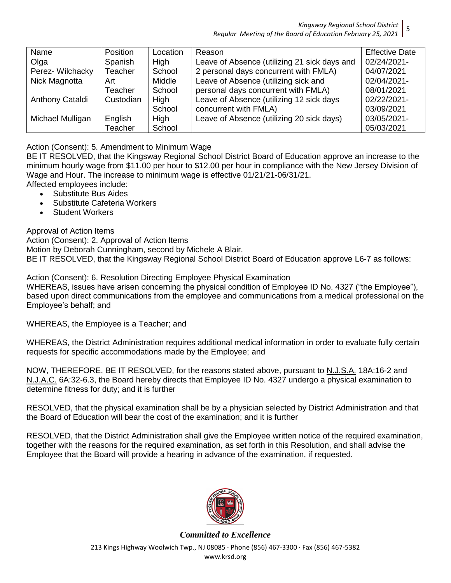*Kingsway Regional School District*

*Regular Meeting of the Board of Education February 25, 2021* 5

| Name             | Position  | Location | Reason                                       | <b>Effective Date</b> |
|------------------|-----------|----------|----------------------------------------------|-----------------------|
| Olga             | Spanish   | High     | Leave of Absence (utilizing 21 sick days and | 02/24/2021-           |
| Perez- Wilchacky | Teacher   | School   | 2 personal days concurrent with FMLA)        | 04/07/2021            |
| Nick Magnotta    | Art       | Middle   | Leave of Absence (utilizing sick and         | 02/04/2021-           |
|                  | Teacher   | School   | personal days concurrent with FMLA)          | 08/01/2021            |
| Anthony Cataldi  | Custodian | High     | Leave of Absence (utilizing 12 sick days     | 02/22/2021-           |
|                  |           | School   | concurrent with FMLA)                        | 03/09/2021            |
| Michael Mulligan | English   | High     | Leave of Absence (utilizing 20 sick days)    | 03/05/2021-           |
|                  | Teacher   | School   |                                              | 05/03/2021            |

## Action (Consent): 5. Amendment to Minimum Wage

BE IT RESOLVED, that the Kingsway Regional School District Board of Education approve an increase to the minimum hourly wage from \$11.00 per hour to \$12.00 per hour in compliance with the New Jersey Division of Wage and Hour. The increase to minimum wage is effective 01/21/21-06/31/21.

Affected employees include:

- Substitute Bus Aides
- Substitute Cafeteria Workers
- Student Workers

Approval of Action Items

Action (Consent): 2. Approval of Action Items Motion by Deborah Cunningham, second by Michele A Blair. BE IT RESOLVED, that the Kingsway Regional School District Board of Education approve L6-7 as follows:

Action (Consent): 6. Resolution Directing Employee Physical Examination

WHEREAS, issues have arisen concerning the physical condition of Employee ID No. 4327 ("the Employee"), based upon direct communications from the employee and communications from a medical professional on the Employee's behalf; and

WHEREAS, the Employee is a Teacher; and

WHEREAS, the District Administration requires additional medical information in order to evaluate fully certain requests for specific accommodations made by the Employee; and

NOW, THEREFORE, BE IT RESOLVED, for the reasons stated above, pursuant to N.J.S.A. 18A:16-2 and N.J.A.C. 6A:32-6.3, the Board hereby directs that Employee ID No. 4327 undergo a physical examination to determine fitness for duty; and it is further

RESOLVED, that the physical examination shall be by a physician selected by District Administration and that the Board of Education will bear the cost of the examination; and it is further

RESOLVED, that the District Administration shall give the Employee written notice of the required examination, together with the reasons for the required examination, as set forth in this Resolution, and shall advise the Employee that the Board will provide a hearing in advance of the examination, if requested.

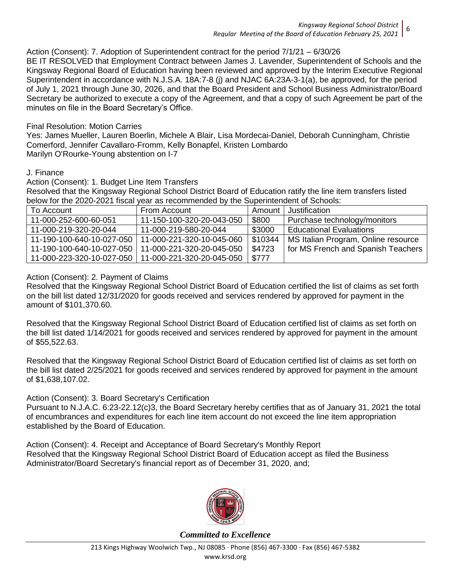## Action (Consent): 7. Adoption of Superintendent contract for the period 7/1/21 – 6/30/26

BE IT RESOLVED that Employment Contract between James J. Lavender, Superintendent of Schools and the Kingsway Regional Board of Education having been reviewed and approved by the Interim Executive Regional Superintendent in accordance with N.J.S.A. 18A:7-8 (j) and NJAC 6A:23A-3-1(a), be approved, for the period of July 1, 2021 through June 30, 2026, and that the Board President and School Business Administrator/Board Secretary be authorized to execute a copy of the Agreement, and that a copy of such Agreement be part of the minutes on file in the Board Secretary's Office.

#### Final Resolution: Motion Carries

Yes: James Mueller, Lauren Boerlin, Michele A Blair, Lisa Mordecai-Daniel, Deborah Cunningham, Christie Comerford, Jennifer Cavallaro-Fromm, Kelly Bonapfel, Kristen Lombardo Marilyn O'Rourke-Young abstention on I-7

#### J. Finance

Action (Consent): 1. Budget Line Item Transfers

Resolved that the Kingsway Regional School District Board of Education ratify the line item transfers listed below for the 2020-2021 fiscal year as recommended by the Superintendent of Schools:

| To Account                                           | From Account              | Amount I | Justification                       |
|------------------------------------------------------|---------------------------|----------|-------------------------------------|
| 11-000-252-600-60-051                                | 11-150-100-320-20-043-050 | \$800    | Purchase technology/monitors        |
| 11-000-219-320-20-044                                | 11-000-219-580-20-044     | \$3000   | <b>Educational Evaluations</b>      |
| 11-190-100-640-10-027-050 111-000-221-320-10-045-060 |                           | \$10344  | MS Italian Program, Online resource |
| 11-190-100-640-10-027-050 11-000-221-320-20-045-050  |                           | \$4723   | for MS French and Spanish Teachers  |
| 11-000-223-320-10-027-050 11-000-221-320-20-045-050  |                           | \$777    |                                     |

#### Action (Consent): 2. Payment of Claims

Resolved that the Kingsway Regional School District Board of Education certified the list of claims as set forth on the bill list dated 12/31/2020 for goods received and services rendered by approved for payment in the amount of \$101,370.60.

Resolved that the Kingsway Regional School District Board of Education certified list of claims as set forth on the bill list dated 1/14/2021 for goods received and services rendered by approved for payment in the amount of \$55,522.63.

Resolved that the Kingsway Regional School District Board of Education certified list of claims as set forth on the bill list dated 2/25/2021 for goods received and services rendered by approved for payment in the amount of \$1,638,107.02.

## Action (Consent): 3. Board Secretary's Certification

Pursuant to N.J.A.C. 6:23-22.12(c)3, the Board Secretary hereby certifies that as of January 31, 2021 the total of encumbrances and expenditures for each line item account do not exceed the line item appropriation established by the Board of Education.

Action (Consent): 4. Receipt and Acceptance of Board Secretary's Monthly Report Resolved that the Kingsway Regional School District Board of Education accept as filed the Business Administrator/Board Secretary's financial report as of December 31, 2020, and;

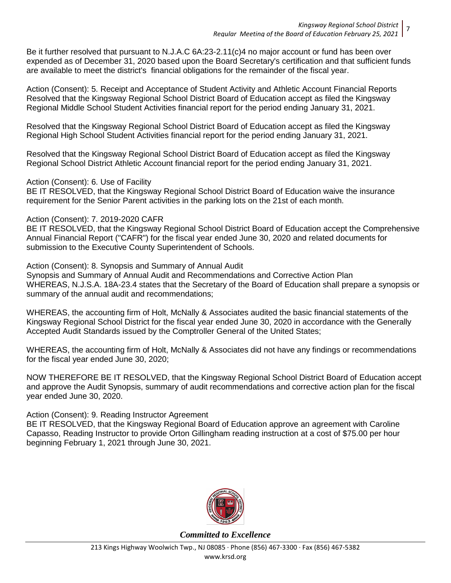Be it further resolved that pursuant to N.J.A.C 6A:23-2.11(c)4 no major account or fund has been over expended as of December 31, 2020 based upon the Board Secretary's certification and that sufficient funds are available to meet the district's financial obligations for the remainder of the fiscal year.

Action (Consent): 5. Receipt and Acceptance of Student Activity and Athletic Account Financial Reports Resolved that the Kingsway Regional School District Board of Education accept as filed the Kingsway Regional Middle School Student Activities financial report for the period ending January 31, 2021.

Resolved that the Kingsway Regional School District Board of Education accept as filed the Kingsway Regional High School Student Activities financial report for the period ending January 31, 2021.

Resolved that the Kingsway Regional School District Board of Education accept as filed the Kingsway Regional School District Athletic Account financial report for the period ending January 31, 2021.

Action (Consent): 6. Use of Facility

BE IT RESOLVED, that the Kingsway Regional School District Board of Education waive the insurance requirement for the Senior Parent activities in the parking lots on the 21st of each month.

#### Action (Consent): 7. 2019-2020 CAFR

BE IT RESOLVED, that the Kingsway Regional School District Board of Education accept the Comprehensive Annual Financial Report ("CAFR") for the fiscal year ended June 30, 2020 and related documents for submission to the Executive County Superintendent of Schools.

Action (Consent): 8. Synopsis and Summary of Annual Audit Synopsis and Summary of Annual Audit and Recommendations and Corrective Action Plan WHEREAS, N.J.S.A. 18A-23.4 states that the Secretary of the Board of Education shall prepare a synopsis or summary of the annual audit and recommendations;

WHEREAS, the accounting firm of Holt, McNally & Associates audited the basic financial statements of the Kingsway Regional School District for the fiscal year ended June 30, 2020 in accordance with the Generally Accepted Audit Standards issued by the Comptroller General of the United States;

WHEREAS, the accounting firm of Holt, McNally & Associates did not have any findings or recommendations for the fiscal year ended June 30, 2020;

NOW THEREFORE BE IT RESOLVED, that the Kingsway Regional School District Board of Education accept and approve the Audit Synopsis, summary of audit recommendations and corrective action plan for the fiscal year ended June 30, 2020.

Action (Consent): 9. Reading Instructor Agreement

BE IT RESOLVED, that the Kingsway Regional Board of Education approve an agreement with Caroline Capasso, Reading Instructor to provide Orton Gillingham reading instruction at a cost of \$75.00 per hour beginning February 1, 2021 through June 30, 2021.

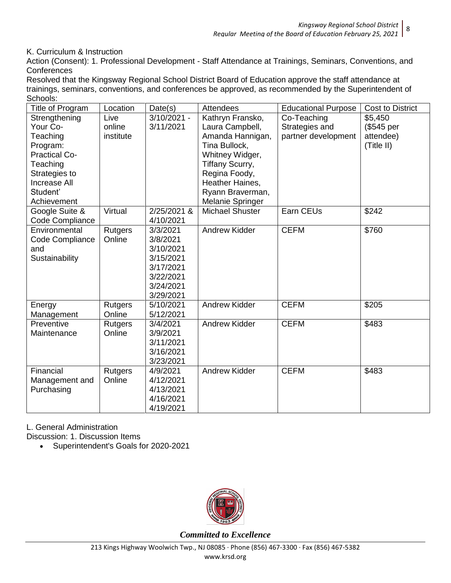K. Curriculum & Instruction

Action (Consent): 1. Professional Development - Staff Attendance at Trainings, Seminars, Conventions, and **Conferences** 

Resolved that the Kingsway Regional School District Board of Education approve the staff attendance at trainings, seminars, conventions, and conferences be approved, as recommended by the Superintendent of Schools:

|                                                                                                                                                                                                                                                             | <b>Cost to District</b> |
|-------------------------------------------------------------------------------------------------------------------------------------------------------------------------------------------------------------------------------------------------------------|-------------------------|
| Strengthening<br>$3/10/2021 -$<br>Kathryn Fransko,<br>\$5,450<br>Live<br>Co-Teaching<br>Your Co-<br>Strategies and<br>online<br>3/11/2021<br>Laura Campbell,<br>(\$545 per<br>partner development<br>Teaching<br>institute<br>Amanda Hannigan,<br>attendee) |                         |
| Tina Bullock,<br>(Title II)<br>Program:<br><b>Practical Co-</b><br>Whitney Widger,                                                                                                                                                                          |                         |
| Tiffany Scurry,<br>Teaching                                                                                                                                                                                                                                 |                         |
| Regina Foody,<br>Strategies to<br><b>Increase All</b>                                                                                                                                                                                                       |                         |
| Heather Haines,<br>Student'<br>Ryann Braverman,                                                                                                                                                                                                             |                         |
| Achievement<br>Melanie Springer                                                                                                                                                                                                                             |                         |
| \$242<br>Google Suite &<br>Virtual<br>2/25/2021 &<br><b>Michael Shuster</b><br>Earn CEUs<br>Code Compliance<br>4/10/2021                                                                                                                                    |                         |
| 3/3/2021<br><b>Andrew Kidder</b><br><b>CEFM</b><br>\$760<br>Environmental<br><b>Rutgers</b>                                                                                                                                                                 |                         |
| 3/8/2021<br>Online<br>Code Compliance<br>3/10/2021<br>and                                                                                                                                                                                                   |                         |
| Sustainability<br>3/15/2021                                                                                                                                                                                                                                 |                         |
| 3/17/2021                                                                                                                                                                                                                                                   |                         |
| 3/22/2021                                                                                                                                                                                                                                                   |                         |
| 3/24/2021                                                                                                                                                                                                                                                   |                         |
| 3/29/2021<br><b>CEFM</b><br>\$205<br>5/10/2021<br>Andrew Kidder<br><b>Rutgers</b><br>Energy                                                                                                                                                                 |                         |
| 5/12/2021<br>Online<br>Management                                                                                                                                                                                                                           |                         |
| Preventive<br><b>Andrew Kidder</b><br><b>CEFM</b><br>\$483<br><b>Rutgers</b><br>3/4/2021                                                                                                                                                                    |                         |
| 3/9/2021<br>Maintenance<br>Online                                                                                                                                                                                                                           |                         |
| 3/11/2021<br>3/16/2021                                                                                                                                                                                                                                      |                         |
| 3/23/2021                                                                                                                                                                                                                                                   |                         |
| Financial<br><b>CEFM</b><br>4/9/2021<br>Andrew Kidder<br>\$483<br>Rutgers                                                                                                                                                                                   |                         |
| Online<br>4/12/2021<br>Management and                                                                                                                                                                                                                       |                         |
| Purchasing<br>4/13/2021                                                                                                                                                                                                                                     |                         |
| 4/16/2021<br>4/19/2021                                                                                                                                                                                                                                      |                         |

L. General Administration

Discussion: 1. Discussion Items

Superintendent's Goals for 2020-2021

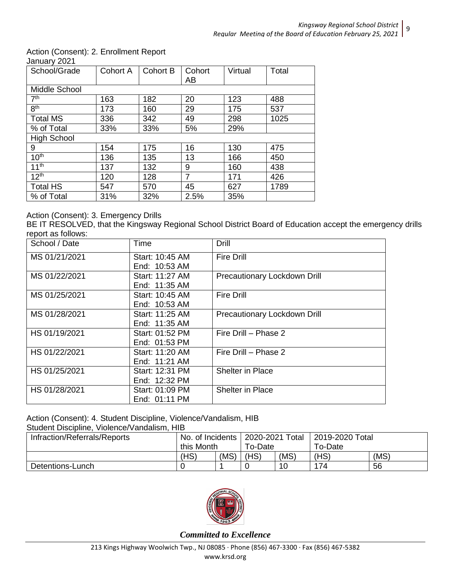## Action (Consent): 2. Enrollment Report

January 2021

| School/Grade       | Cohort A | <b>Cohort B</b> | Cohort<br>AB | Virtual | Total |
|--------------------|----------|-----------------|--------------|---------|-------|
| Middle School      |          |                 |              |         |       |
| 7 <sup>th</sup>    | 163      | 182             | 20           | 123     | 488   |
| 8 <sup>th</sup>    | 173      | 160             | 29           | 175     | 537   |
| <b>Total MS</b>    | 336      | 342             | 49           | 298     | 1025  |
| % of Total         | 33%      | 33%             | 5%           | 29%     |       |
| <b>High School</b> |          |                 |              |         |       |
| 9                  | 154      | 175             | 16           | 130     | 475   |
| 10 <sup>th</sup>   | 136      | 135             | 13           | 166     | 450   |
| 11 <sup>th</sup>   | 137      | 132             | 9            | 160     | 438   |
| 12 <sup>th</sup>   | 120      | 128             | 7            | 171     | 426   |
| <b>Total HS</b>    | 547      | 570             | 45           | 627     | 1789  |
| % of Total         | 31%      | 32%             | 2.5%         | 35%     |       |

## Action (Consent): 3. Emergency Drills

BE IT RESOLVED, that the Kingsway Regional School District Board of Education accept the emergency drills report as follows:

| School / Date | Time            | <b>Drill</b>                 |
|---------------|-----------------|------------------------------|
| MS 01/21/2021 | Start: 10:45 AM | <b>Fire Drill</b>            |
|               | End: 10:53 AM   |                              |
| MS 01/22/2021 | Start: 11:27 AM | Precautionary Lockdown Drill |
|               | End: 11:35 AM   |                              |
| MS 01/25/2021 | Start: 10:45 AM | <b>Fire Drill</b>            |
|               | End: 10:53 AM   |                              |
| MS 01/28/2021 | Start: 11:25 AM | Precautionary Lockdown Drill |
|               | End: 11:35 AM   |                              |
| HS 01/19/2021 | Start: 01:52 PM | Fire Drill - Phase 2         |
|               | End: 01:53 PM   |                              |
| HS 01/22/2021 | Start: 11:20 AM | Fire Drill - Phase 2         |
|               | End: 11:21 AM   |                              |
| HS 01/25/2021 | Start: 12:31 PM | Shelter in Place             |
|               | End: 12:32 PM   |                              |
| HS 01/28/2021 | Start: 01:09 PM | <b>Shelter in Place</b>      |
|               | End: 01:11 PM   |                              |

## Action (Consent): 4. Student Discipline, Violence/Vandalism, HIB

Student Discipline, Violence/Vandalism, HIB

| Infraction/Referrals/Reports | No. of Incidents |      | 2020-2021 Total |      | 2019-2020 Total |      |
|------------------------------|------------------|------|-----------------|------|-----------------|------|
|                              | this Month       |      | To-Date         |      | To-Date         |      |
|                              | (HS)             | (MS) | (HS)            | (MS) | (HS)            | (MS) |
| Detentions-Lunch             |                  |      |                 | 10   | 74              | 56   |

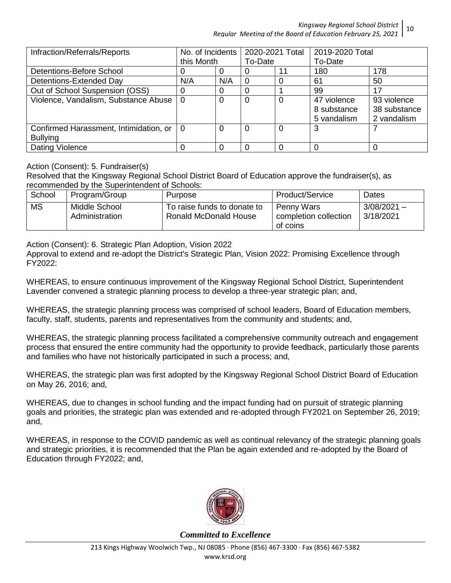*Kingsway Regional School District Regular Meeting of the Board of Education February 25, 2021* 10

| Infraction/Referrals/Reports           | No. of Incidents |          | 2020-2021 Total |    | 2019-2020 Total |              |
|----------------------------------------|------------------|----------|-----------------|----|-----------------|--------------|
|                                        | this Month       |          | To-Date         |    | To-Date         |              |
| Detentions-Before School               |                  |          |                 | 11 | 180             | 178          |
| Detentions-Extended Day                | N/A              | N/A      |                 |    | 61              | 50           |
| Out of School Suspension (OSS)         | 0                |          |                 |    | 99              | 17           |
| Violence, Vandalism, Substance Abuse   | $\Omega$         |          | 0               |    | 47 violence     | 93 violence  |
|                                        |                  |          |                 |    | 8 substance     | 38 substance |
|                                        |                  |          |                 |    | 5 vandalism     | 2 vandalism  |
| Confirmed Harassment, Intimidation, or | 0                | $\Omega$ | 0               |    | 3               |              |
| <b>Bullying</b>                        |                  |          |                 |    |                 |              |
| Dating Violence                        |                  |          |                 |    |                 |              |

Action (Consent): 5. Fundraiser(s)

Resolved that the Kingsway Regional School District Board of Education approve the fundraiser(s), as recommended by the Superintendent of Schools:

| School    | Program/Group                   | Purpose                                                     | Product/Service                                 | Dates                      |
|-----------|---------------------------------|-------------------------------------------------------------|-------------------------------------------------|----------------------------|
| <b>MS</b> | Middle School<br>Administration | To raise funds to donate to<br><b>Ronald McDonald House</b> | Penny Wars<br>completion collection<br>of coins | $3/08/2021 -$<br>3/18/2021 |

Action (Consent): 6. Strategic Plan Adoption, Vision 2022

Approval to extend and re-adopt the District's Strategic Plan, Vision 2022: Promising Excellence through FY2022:

WHEREAS, to ensure continuous improvement of the Kingsway Regional School District, Superintendent Lavender convened a strategic planning process to develop a three-year strategic plan; and,

WHEREAS, the strategic planning process was comprised of school leaders, Board of Education members, faculty, staff, students, parents and representatives from the community and students; and,

WHEREAS, the strategic planning process facilitated a comprehensive community outreach and engagement process that ensured the entire community had the opportunity to provide feedback, particularly those parents and families who have not historically participated in such a process; and,

WHEREAS, the strategic plan was first adopted by the Kingsway Regional School District Board of Education on May 26, 2016; and,

WHEREAS, due to changes in school funding and the impact funding had on pursuit of strategic planning goals and priorities, the strategic plan was extended and re-adopted through FY2021 on September 26, 2019; and,

WHEREAS, in response to the COVID pandemic as well as continual relevancy of the strategic planning goals and strategic priorities, it is recommended that the Plan be again extended and re-adopted by the Board of Education through FY2022; and,

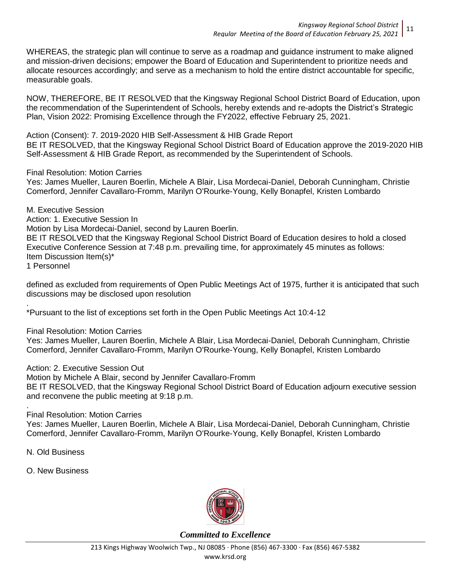WHEREAS, the strategic plan will continue to serve as a roadmap and guidance instrument to make aligned and mission-driven decisions; empower the Board of Education and Superintendent to prioritize needs and allocate resources accordingly; and serve as a mechanism to hold the entire district accountable for specific, measurable goals.

NOW, THEREFORE, BE IT RESOLVED that the Kingsway Regional School District Board of Education, upon the recommendation of the Superintendent of Schools, hereby extends and re-adopts the District's Strategic Plan, Vision 2022: Promising Excellence through the FY2022, effective February 25, 2021.

Action (Consent): 7. 2019-2020 HIB Self-Assessment & HIB Grade Report

BE IT RESOLVED, that the Kingsway Regional School District Board of Education approve the 2019-2020 HIB Self-Assessment & HIB Grade Report, as recommended by the Superintendent of Schools.

Final Resolution: Motion Carries

Yes: James Mueller, Lauren Boerlin, Michele A Blair, Lisa Mordecai-Daniel, Deborah Cunningham, Christie Comerford, Jennifer Cavallaro-Fromm, Marilyn O'Rourke-Young, Kelly Bonapfel, Kristen Lombardo

M. Executive Session Action: 1. Executive Session In Motion by Lisa Mordecai-Daniel, second by Lauren Boerlin. BE IT RESOLVED that the Kingsway Regional School District Board of Education desires to hold a closed Executive Conference Session at 7:48 p.m. prevailing time, for approximately 45 minutes as follows: Item Discussion Item(s)\* 1 Personnel

defined as excluded from requirements of Open Public Meetings Act of 1975, further it is anticipated that such discussions may be disclosed upon resolution

. \*Pursuant to the list of exceptions set forth in the Open Public Meetings Act 10:4-12

Final Resolution: Motion Carries

Yes: James Mueller, Lauren Boerlin, Michele A Blair, Lisa Mordecai-Daniel, Deborah Cunningham, Christie Comerford, Jennifer Cavallaro-Fromm, Marilyn O'Rourke-Young, Kelly Bonapfel, Kristen Lombardo

Action: 2. Executive Session Out

Motion by Michele A Blair, second by Jennifer Cavallaro-Fromm

BE IT RESOLVED, that the Kingsway Regional School District Board of Education adjourn executive session and reconvene the public meeting at 9:18 p.m.

Final Resolution: Motion Carries

Yes: James Mueller, Lauren Boerlin, Michele A Blair, Lisa Mordecai-Daniel, Deborah Cunningham, Christie Comerford, Jennifer Cavallaro-Fromm, Marilyn O'Rourke-Young, Kelly Bonapfel, Kristen Lombardo

N. Old Business

.

O. New Business